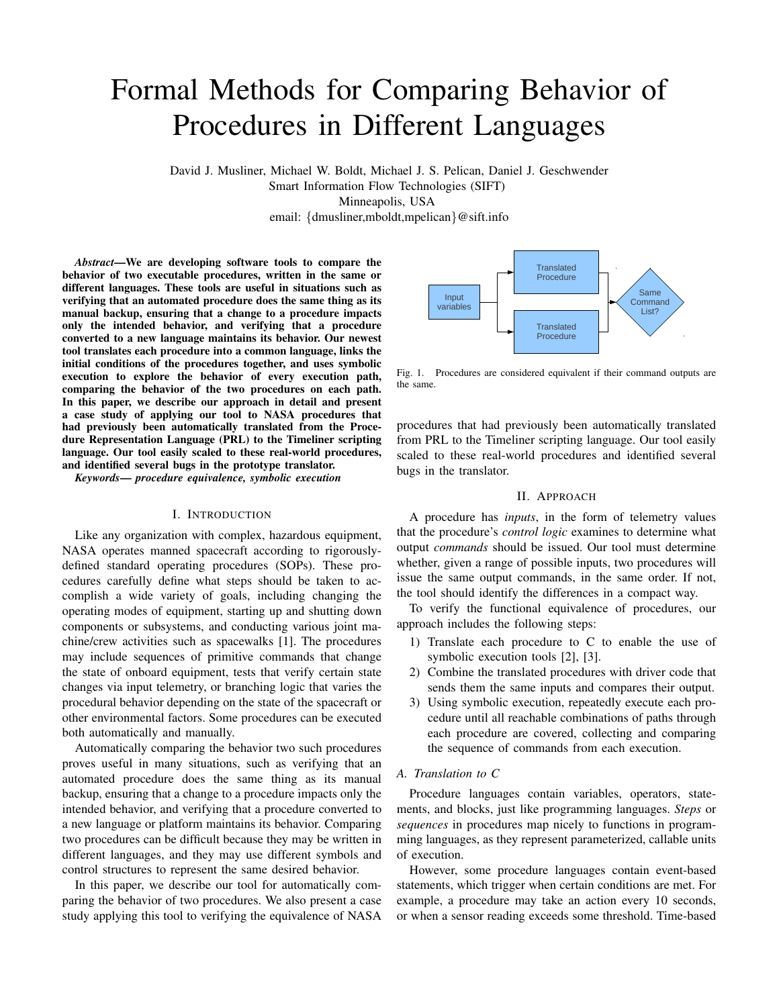# Formal Methods for Comparing Behavior of Procedures in Different Languages

David J. Musliner, Michael W. Boldt, Michael J. S. Pelican, Daniel J. Geschwender Smart Information Flow Technologies (SIFT) Minneapolis, USA email: {dmusliner,mboldt,mpelican}@sift.info

*Abstract*—We are developing software tools to compare the behavior of two executable procedures, written in the same or different languages. These tools are useful in situations such as verifying that an automated procedure does the same thing as its manual backup, ensuring that a change to a procedure impacts only the intended behavior, and verifying that a procedure converted to a new language maintains its behavior. Our newest tool translates each procedure into a common language, links the initial conditions of the procedures together, and uses symbolic execution to explore the behavior of every execution path, comparing the behavior of the two procedures on each path. In this paper, we describe our approach in detail and present a case study of applying our tool to NASA procedures that had previously been automatically translated from the Procedure Representation Language (PRL) to the Timeliner scripting language. Our tool easily scaled to these real-world procedures, and identified several bugs in the prototype translator.

*Keywords*— *procedure equivalence, symbolic execution*

#### I. INTRODUCTION

Like any organization with complex, hazardous equipment, NASA operates manned spacecraft according to rigorouslydefined standard operating procedures (SOPs). These procedures carefully define what steps should be taken to accomplish a wide variety of goals, including changing the operating modes of equipment, starting up and shutting down components or subsystems, and conducting various joint machine/crew activities such as spacewalks [1]. The procedures may include sequences of primitive commands that change the state of onboard equipment, tests that verify certain state changes via input telemetry, or branching logic that varies the procedural behavior depending on the state of the spacecraft or other environmental factors. Some procedures can be executed both automatically and manually.

Automatically comparing the behavior two such procedures proves useful in many situations, such as verifying that an automated procedure does the same thing as its manual backup, ensuring that a change to a procedure impacts only the intended behavior, and verifying that a procedure converted to a new language or platform maintains its behavior. Comparing two procedures can be difficult because they may be written in different languages, and they may use different symbols and control structures to represent the same desired behavior.

In this paper, we describe our tool for automatically comparing the behavior of two procedures. We also present a case study applying this tool to verifying the equivalence of NASA



Fig. 1. Procedures are considered equivalent if their command outputs are the same.

procedures that had previously been automatically translated from PRL to the Timeliner scripting language. Our tool easily scaled to these real-world procedures and identified several bugs in the translator.

# II. APPROACH

A procedure has *inputs*, in the form of telemetry values that the procedure's *control logic* examines to determine what output *commands* should be issued. Our tool must determine whether, given a range of possible inputs, two procedures will issue the same output commands, in the same order. If not, the tool should identify the differences in a compact way.

To verify the functional equivalence of procedures, our approach includes the following steps:

- 1) Translate each procedure to C to enable the use of symbolic execution tools [2], [3].
- 2) Combine the translated procedures with driver code that sends them the same inputs and compares their output.
- 3) Using symbolic execution, repeatedly execute each procedure until all reachable combinations of paths through each procedure are covered, collecting and comparing the sequence of commands from each execution.

# *A. Translation to C*

Procedure languages contain variables, operators, statements, and blocks, just like programming languages. *Steps* or *sequences* in procedures map nicely to functions in programming languages, as they represent parameterized, callable units of execution.

However, some procedure languages contain event-based statements, which trigger when certain conditions are met. For example, a procedure may take an action every 10 seconds, or when a sensor reading exceeds some threshold. Time-based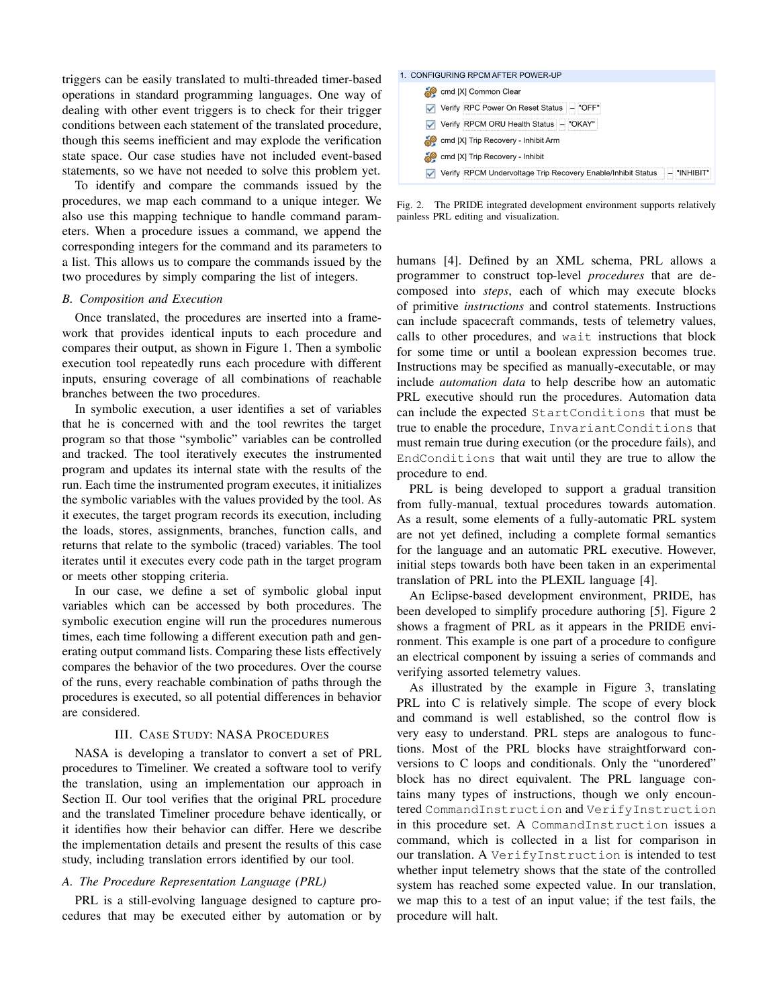triggers can be easily translated to multi-threaded timer-based operations in standard programming languages. One way of dealing with other event triggers is to check for their trigger conditions between each statement of the translated procedure, though this seems inefficient and may explode the verification state space. Our case studies have not included event-based statements, so we have not needed to solve this problem yet.

To identify and compare the commands issued by the procedures, we map each command to a unique integer. We also use this mapping technique to handle command parameters. When a procedure issues a command, we append the corresponding integers for the command and its parameters to a list. This allows us to compare the commands issued by the two procedures by simply comparing the list of integers.

#### *B. Composition and Execution*

Once translated, the procedures are inserted into a framework that provides identical inputs to each procedure and compares their output, as shown in Figure 1. Then a symbolic execution tool repeatedly runs each procedure with different inputs, ensuring coverage of all combinations of reachable branches between the two procedures.

In symbolic execution, a user identifies a set of variables that he is concerned with and the tool rewrites the target program so that those "symbolic" variables can be controlled and tracked. The tool iteratively executes the instrumented program and updates its internal state with the results of the run. Each time the instrumented program executes, it initializes the symbolic variables with the values provided by the tool. As it executes, the target program records its execution, including the loads, stores, assignments, branches, function calls, and returns that relate to the symbolic (traced) variables. The tool iterates until it executes every code path in the target program or meets other stopping criteria.

In our case, we define a set of symbolic global input variables which can be accessed by both procedures. The symbolic execution engine will run the procedures numerous times, each time following a different execution path and generating output command lists. Comparing these lists effectively compares the behavior of the two procedures. Over the course of the runs, every reachable combination of paths through the procedures is executed, so all potential differences in behavior are considered.

### III. CASE STUDY: NASA PROCEDURES

NASA is developing a translator to convert a set of PRL procedures to Timeliner. We created a software tool to verify the translation, using an implementation our approach in Section II. Our tool verifies that the original PRL procedure and the translated Timeliner procedure behave identically, or it identifies how their behavior can differ. Here we describe the implementation details and present the results of this case study, including translation errors identified by our tool.

# *A. The Procedure Representation Language (PRL)*

PRL is a still-evolving language designed to capture procedures that may be executed either by automation or by

#### 1. CONFIGURING RPCM AFTER POWER-UP

| cmd [X] Common Clear                                                       |  |
|----------------------------------------------------------------------------|--|
| Verify RPC Power On Reset Status - "OFF"                                   |  |
| Verify RPCM ORU Health Status   - "OKAY"                                   |  |
| cmd [X] Trip Recovery - Inhibit Arm                                        |  |
| cmd [X] Trip Recovery - Inhibit                                            |  |
| Verify RPCM Undervoltage Trip Recovery Enable/Inhibit Status   - "INHIBIT" |  |

Fig. 2. The PRIDE integrated development environment supports relatively painless PRL editing and visualization.

humans [4]. Defined by an XML schema, PRL allows a programmer to construct top-level *procedures* that are decomposed into *steps*, each of which may execute blocks of primitive *instructions* and control statements. Instructions can include spacecraft commands, tests of telemetry values, calls to other procedures, and wait instructions that block for some time or until a boolean expression becomes true. Instructions may be specified as manually-executable, or may include *automation data* to help describe how an automatic PRL executive should run the procedures. Automation data can include the expected StartConditions that must be true to enable the procedure, InvariantConditions that must remain true during execution (or the procedure fails), and EndConditions that wait until they are true to allow the procedure to end.

PRL is being developed to support a gradual transition from fully-manual, textual procedures towards automation. As a result, some elements of a fully-automatic PRL system are not yet defined, including a complete formal semantics for the language and an automatic PRL executive. However, initial steps towards both have been taken in an experimental translation of PRL into the PLEXIL language [4].

An Eclipse-based development environment, PRIDE, has been developed to simplify procedure authoring [5]. Figure 2 shows a fragment of PRL as it appears in the PRIDE environment. This example is one part of a procedure to configure an electrical component by issuing a series of commands and verifying assorted telemetry values.

As illustrated by the example in Figure 3, translating PRL into C is relatively simple. The scope of every block and command is well established, so the control flow is very easy to understand. PRL steps are analogous to functions. Most of the PRL blocks have straightforward conversions to C loops and conditionals. Only the "unordered" block has no direct equivalent. The PRL language contains many types of instructions, though we only encountered CommandInstruction and VerifyInstruction in this procedure set. A CommandInstruction issues a command, which is collected in a list for comparison in our translation. A VerifyInstruction is intended to test whether input telemetry shows that the state of the controlled system has reached some expected value. In our translation, we map this to a test of an input value; if the test fails, the procedure will halt.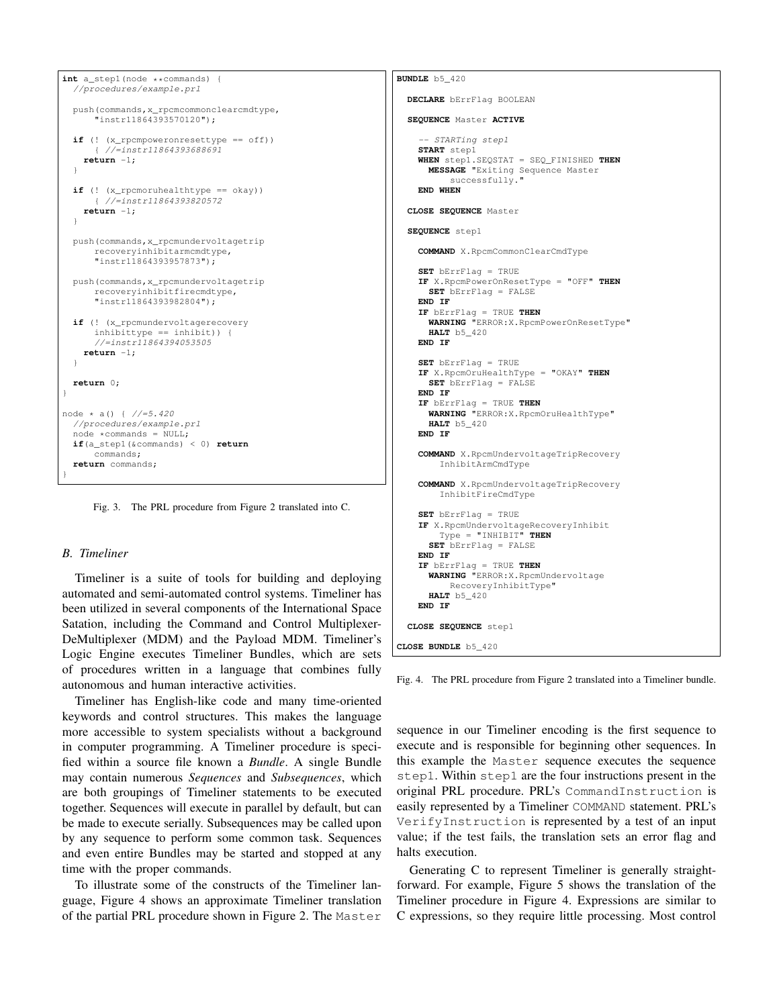```
int a_step1(node **commands)
  //procedures/example.prl
 push(commands,x_rpcmcommonclearcmdtype,
       "instr11864393570120");
  if (! (x_rpcmpoweronresettype == off))
      { //=instr11864393688691
   return -1;
  }
  if (! (x_rpcmoruhealthtype == okay))
      { //=instr11864393820572
   return -1;
  }
 push(commands,x_rpcmundervoltagetrip
      recoveryinhibitarmcmdtype,
      "instr11864393957873");
 push(commands,x_rpcmundervoltagetrip
     recoveryinhibitfirecmdtype,
      "instr11864393982804");
 if (! (x_rpcmundervoltagerecovery
      inhibittype == inhibit)) {
      //=instr11864394053505
   return -1;
  }
 return 0;
}
node * a() { //= 5.420}//procedures/example.prl
  node *commands = NULL;
 if(a_step1(&commands) < 0) return
     commands;
 return commands;
}
```
Fig. 3. The PRL procedure from Figure 2 translated into C.

# *B. Timeliner*

Timeliner is a suite of tools for building and deploying automated and semi-automated control systems. Timeliner has been utilized in several components of the International Space Satation, including the Command and Control Multiplexer-DeMultiplexer (MDM) and the Payload MDM. Timeliner's Logic Engine executes Timeliner Bundles, which are sets of procedures written in a language that combines fully autonomous and human interactive activities.

Timeliner has English-like code and many time-oriented keywords and control structures. This makes the language more accessible to system specialists without a background in computer programming. A Timeliner procedure is specified within a source file known a *Bundle*. A single Bundle may contain numerous *Sequences* and *Subsequences*, which are both groupings of Timeliner statements to be executed together. Sequences will execute in parallel by default, but can be made to execute serially. Subsequences may be called upon by any sequence to perform some common task. Sequences and even entire Bundles may be started and stopped at any time with the proper commands.

To illustrate some of the constructs of the Timeliner language, Figure 4 shows an approximate Timeliner translation of the partial PRL procedure shown in Figure 2. The Master

```
BUNDLE b5_420
 DECLARE bErrFlag BOOLEAN
  SEQUENCE Master ACTIVE
     - STARTing step1
   START step1
   WHEN step1.SEQSTAT = SEQ_FINISHED THEN
     MESSAGE "Exiting Sequence Master
         successfully."
   END WHEN
  CLOSE SEQUENCE Master
  SEQUENCE step1
   COMMAND X.RpcmCommonClearCmdType
    SET bErrFlag = TRUE
   IF X.RpcmPowerOnResetType = "OFF" THEN
     SET bErrFlag = FALSE
    END IF
    IF bErrFlag = TRUE THEN
     WARNING "ERROR:X.RpcmPowerOnResetType"
      HALT b5_420
    END IF
    SET bErrFlag = TRUE
   IF X.RpcmOruHealthType = "OKAY" THEN
     SET bErrFlag = FALSE
    END IF
    IF bErrFlag = TRUE THEN
     WARNING "ERROR:X.RpcmOruHealthType"
     HALT b5_420
   END IF
   COMMAND X.RpcmUndervoltageTripRecovery
       InhibitArmCmdType
   COMMAND X.RpcmUndervoltageTripRecovery
        InhibitFireCmdType
   SET bErrFlag = TRUE
    IF X.RpcmUndervoltageRecoveryInhibit
       Type = "INHIBIT" THEN
     SET bErrFlag = FALSE
   END IF
    IF bErrFlag = TRUE THEN
     WARNING "ERROR:X.RpcmUndervoltage
         RecoveryInhibitType"
     HALT b5_420
   END IF
 CLOSE SEQUENCE step1
CLOSE BUNDLE b5_420
```
Fig. 4. The PRL procedure from Figure 2 translated into a Timeliner bundle.

sequence in our Timeliner encoding is the first sequence to execute and is responsible for beginning other sequences. In this example the Master sequence executes the sequence step1. Within step1 are the four instructions present in the original PRL procedure. PRL's CommandInstruction is easily represented by a Timeliner COMMAND statement. PRL's VerifyInstruction is represented by a test of an input value; if the test fails, the translation sets an error flag and halts execution.

Generating C to represent Timeliner is generally straightforward. For example, Figure 5 shows the translation of the Timeliner procedure in Figure 4. Expressions are similar to C expressions, so they require little processing. Most control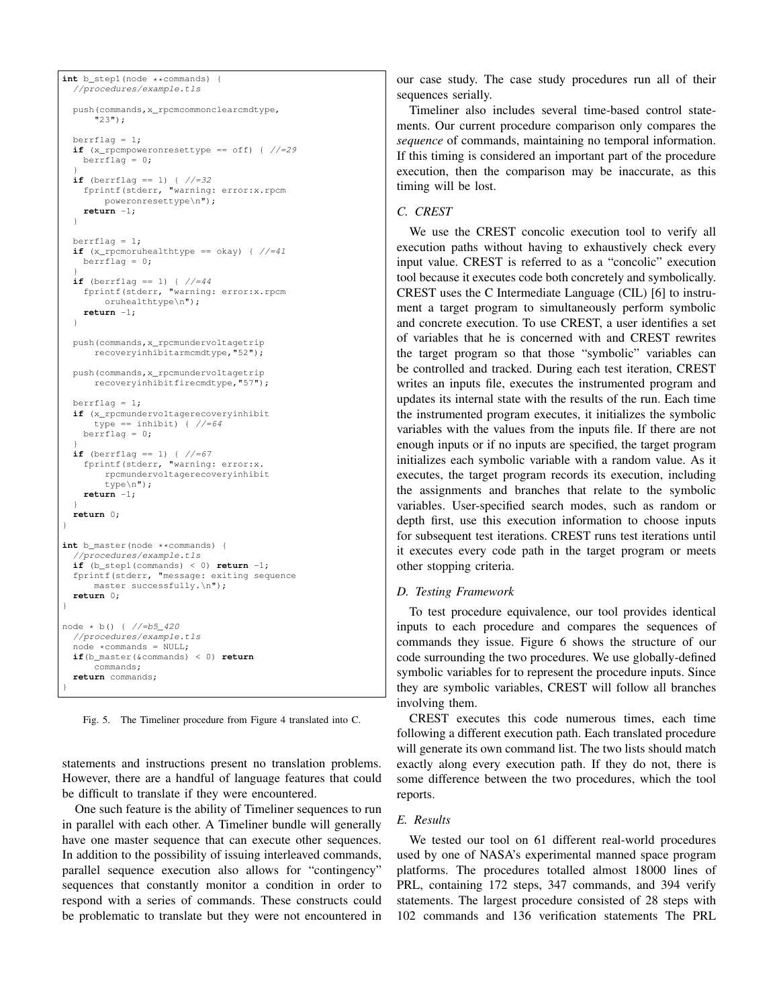```
int b_step1(node **commands)
  //procedures/example.tls
 push(commands,x_rpcmcommonclearcmdtype,
      "23");
 berrflag = 1;if (x_rpcmpoweronresettype == off) { //=29
   berrflag = 0;
  }
 if (berrflag == 1) { //=32fprintf(stderr, "warning: error:x.rpcm
       poweronresettype\n");
   return -1;
  }
  berrflaq = 1;
  if (x_rpcmoruhealthtype == okay) { //=41berrflag = 0;}
if (berrflag == 1) { //=44
   fprintf(stderr, "warning: error:x.rpcm
       oruhealthtype\n");
   return -1;
  }
 push(commands,x_rpcmundervoltagetrip
     recoveryinhibitarmcmdtype,"52");
 push(commands,x_rpcmundervoltagetrip
     recoveryinhibitfirecmdtype,"57");
 berrflag = 1;
  if (x_rpcmundervoltagerecoveryinhibit
     type == inhibit) { //=64berrflag = 0;
  }
if (berrflag == 1) { //=67
    fprintf(stderr, "warning: error:x.
       rpcmundervoltagerecoveryinhibit
       type\n");
   return -1;
  }
 return 0;
}
int b_master(node **commands) {
  //procedures/example.tls
 if (b_step1(commands) < 0) return -1;
  fprintf(stderr, "message: exiting sequence
     master successfully.\n");
 return 0;
}
node * b() { //=b5_420
  //procedures/example.tls
  node *commands = NULL;
  if(b_master(&commands) < 0) return
      commands;
 return commands;
}
```
Fig. 5. The Timeliner procedure from Figure 4 translated into C.

statements and instructions present no translation problems. However, there are a handful of language features that could be difficult to translate if they were encountered.

One such feature is the ability of Timeliner sequences to run in parallel with each other. A Timeliner bundle will generally have one master sequence that can execute other sequences. In addition to the possibility of issuing interleaved commands, parallel sequence execution also allows for "contingency" sequences that constantly monitor a condition in order to respond with a series of commands. These constructs could be problematic to translate but they were not encountered in

our case study. The case study procedures run all of their sequences serially.

Timeliner also includes several time-based control statements. Our current procedure comparison only compares the *sequence* of commands, maintaining no temporal information. If this timing is considered an important part of the procedure execution, then the comparison may be inaccurate, as this timing will be lost.

#### *C. CREST*

We use the CREST concolic execution tool to verify all execution paths without having to exhaustively check every input value. CREST is referred to as a "concolic" execution tool because it executes code both concretely and symbolically. CREST uses the C Intermediate Language (CIL) [6] to instrument a target program to simultaneously perform symbolic and concrete execution. To use CREST, a user identifies a set of variables that he is concerned with and CREST rewrites the target program so that those "symbolic" variables can be controlled and tracked. During each test iteration, CREST writes an inputs file, executes the instrumented program and updates its internal state with the results of the run. Each time the instrumented program executes, it initializes the symbolic variables with the values from the inputs file. If there are not enough inputs or if no inputs are specified, the target program initializes each symbolic variable with a random value. As it executes, the target program records its execution, including the assignments and branches that relate to the symbolic variables. User-specified search modes, such as random or depth first, use this execution information to choose inputs for subsequent test iterations. CREST runs test iterations until it executes every code path in the target program or meets other stopping criteria.

#### *D. Testing Framework*

To test procedure equivalence, our tool provides identical inputs to each procedure and compares the sequences of commands they issue. Figure 6 shows the structure of our code surrounding the two procedures. We use globally-defined symbolic variables for to represent the procedure inputs. Since they are symbolic variables, CREST will follow all branches involving them.

CREST executes this code numerous times, each time following a different execution path. Each translated procedure will generate its own command list. The two lists should match exactly along every execution path. If they do not, there is some difference between the two procedures, which the tool reports.

# *E. Results*

We tested our tool on 61 different real-world procedures used by one of NASA's experimental manned space program platforms. The procedures totalled almost 18000 lines of PRL, containing 172 steps, 347 commands, and 394 verify statements. The largest procedure consisted of 28 steps with 102 commands and 136 verification statements The PRL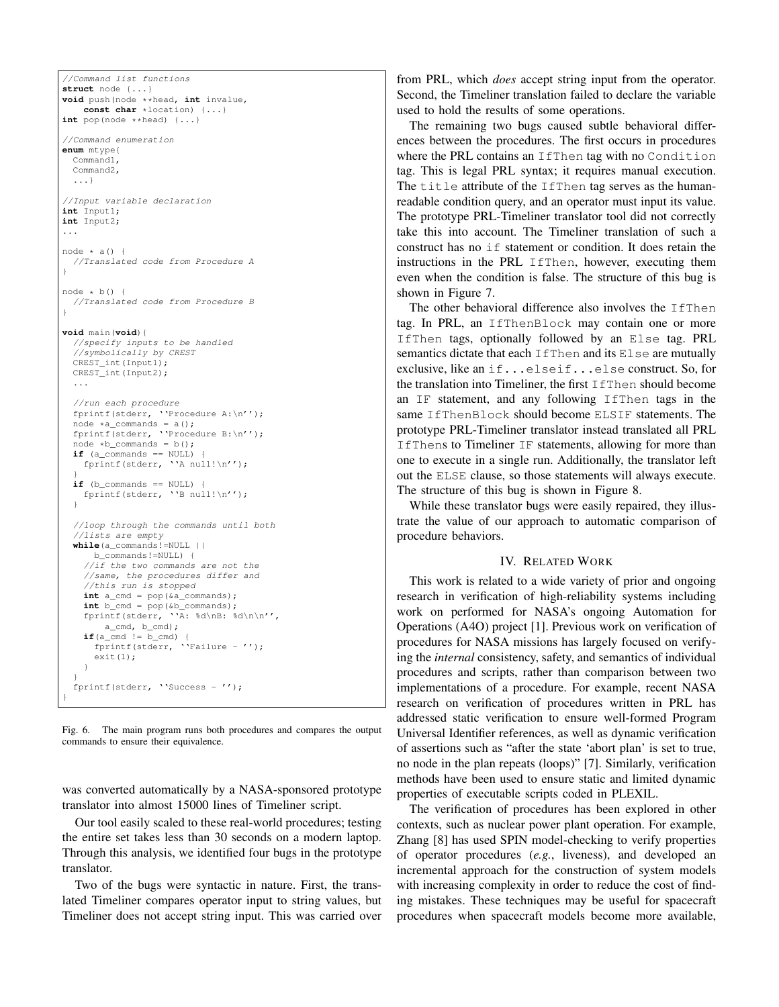```
//Command list functions
struct node {...}
void push(node **head, int invalue,
   const char *location) {...}
int pop(node **head) {...}
//Command enumeration
enum mtype{
 Command1,
  Command2,
  ...}
//Input variable declaration
int Input1;
int Input2;
...
node * a() {
 //Translated code from Procedure A
}
node * b() {
 //Translated code from Procedure B
}
void main(void){
 //specify inputs to be handled
  //symbolically by CREST
  CREST_int(Input1);
 CREST_int(Input2);
  ...
  //run each procedure
  fprintf(stderr, ''Procedure A:\n'');
  node *a_{\text{commands}} = a();
  fprintf(stderr, ''Procedure B:\n'');
  node *b commands = b();
  \overline{\textbf{if}} (a_commands == NULL) {
    fprintf(stderr, ''A null!\n'');
  }
  if (b commands == NULL) {
    fprintf(stderr, ''B null!\n'');
  }
  //loop through the commands until both
  //lists are empty
  while(a_commands!=NULL ||
      b_commands!=NULL) {
    //if the two commands are not the
    //same, the procedures differ and
    //this run is stopped
    int a_cmd = pop(&a_commands);
    int b_cmd = pop(&b_commands);
    fprintf(stderr, ''A: %d\nB: %d\n\n'',
    a_cmd, b_cmd);
if(a_cmd != b_cmd) {
      fprintf(stderr, ''Failure - '');
      exit(1);
    }
  }
  fprintf(stderr, ''Success - '');
}
```
Fig. 6. The main program runs both procedures and compares the output commands to ensure their equivalence.

was converted automatically by a NASA-sponsored prototype translator into almost 15000 lines of Timeliner script.

Our tool easily scaled to these real-world procedures; testing the entire set takes less than 30 seconds on a modern laptop. Through this analysis, we identified four bugs in the prototype translator.

Two of the bugs were syntactic in nature. First, the translated Timeliner compares operator input to string values, but Timeliner does not accept string input. This was carried over

from PRL, which *does* accept string input from the operator. Second, the Timeliner translation failed to declare the variable used to hold the results of some operations.

The remaining two bugs caused subtle behavioral differences between the procedures. The first occurs in procedures where the PRL contains an IfThen tag with no Condition tag. This is legal PRL syntax; it requires manual execution. The title attribute of the IfThen tag serves as the humanreadable condition query, and an operator must input its value. The prototype PRL-Timeliner translator tool did not correctly take this into account. The Timeliner translation of such a construct has no if statement or condition. It does retain the instructions in the PRL IfThen, however, executing them even when the condition is false. The structure of this bug is shown in Figure 7.

The other behavioral difference also involves the IfThen tag. In PRL, an IfThenBlock may contain one or more IfThen tags, optionally followed by an Else tag. PRL semantics dictate that each IfThen and its Else are mutually exclusive, like an if...elseif...else construct. So, for the translation into Timeliner, the first IfThen should become an IF statement, and any following IfThen tags in the same IfThenBlock should become ELSIF statements. The prototype PRL-Timeliner translator instead translated all PRL IfThens to Timeliner IF statements, allowing for more than one to execute in a single run. Additionally, the translator left out the ELSE clause, so those statements will always execute. The structure of this bug is shown in Figure 8.

While these translator bugs were easily repaired, they illustrate the value of our approach to automatic comparison of procedure behaviors.

# IV. RELATED WORK

This work is related to a wide variety of prior and ongoing research in verification of high-reliability systems including work on performed for NASA's ongoing Automation for Operations (A4O) project [1]. Previous work on verification of procedures for NASA missions has largely focused on verifying the *internal* consistency, safety, and semantics of individual procedures and scripts, rather than comparison between two implementations of a procedure. For example, recent NASA research on verification of procedures written in PRL has addressed static verification to ensure well-formed Program Universal Identifier references, as well as dynamic verification of assertions such as "after the state 'abort plan' is set to true, no node in the plan repeats (loops)" [7]. Similarly, verification methods have been used to ensure static and limited dynamic properties of executable scripts coded in PLEXIL.

The verification of procedures has been explored in other contexts, such as nuclear power plant operation. For example, Zhang [8] has used SPIN model-checking to verify properties of operator procedures (*e.g.*, liveness), and developed an incremental approach for the construction of system models with increasing complexity in order to reduce the cost of finding mistakes. These techniques may be useful for spacecraft procedures when spacecraft models become more available,